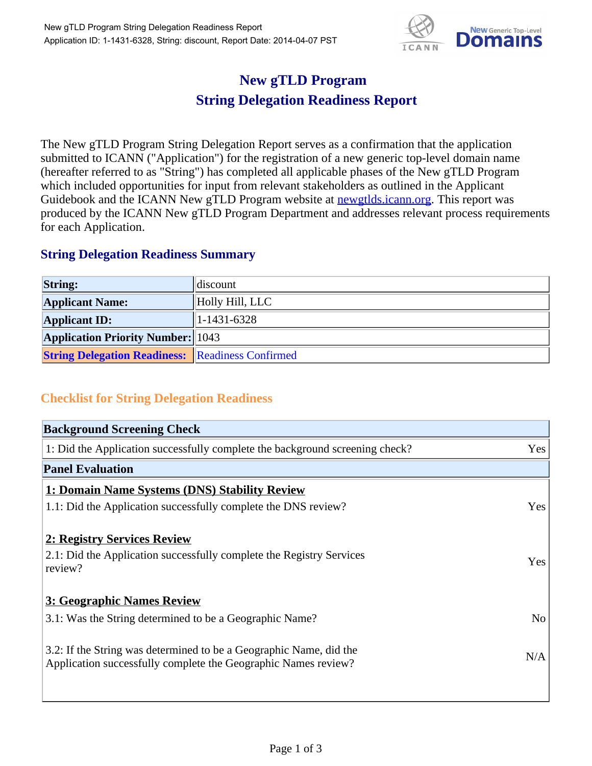

## **New gTLD Program String Delegation Readiness Report**

The New gTLD Program String Delegation Report serves as a confirmation that the application submitted to ICANN ("Application") for the registration of a new generic top-level domain name (hereafter referred to as "String") has completed all applicable phases of the New gTLD Program which included opportunities for input from relevant stakeholders as outlined in the Applicant Guidebook and the ICANN New gTLD Program website at **newgtlds.icann.org**. This report was produced by the ICANN New gTLD Program Department and addresses relevant process requirements for each Application.

## **String Delegation Readiness Summary**

| <b>String:</b>                                          | discount        |
|---------------------------------------------------------|-----------------|
| <b>Applicant Name:</b>                                  | Holly Hill, LLC |
| <b>Applicant ID:</b>                                    | $1-1431-6328$   |
| <b>Application Priority Number:</b> 1043                |                 |
| <b>String Delegation Readiness: Readiness Confirmed</b> |                 |

## **Checklist for String Delegation Readiness**

| <b>Background Screening Check</b>                                               |                |
|---------------------------------------------------------------------------------|----------------|
| 1: Did the Application successfully complete the background screening check?    | Yes            |
| <b>Panel Evaluation</b>                                                         |                |
| 1: Domain Name Systems (DNS) Stability Review                                   |                |
| 1.1: Did the Application successfully complete the DNS review?                  | Yes            |
| 2: Registry Services Review                                                     |                |
|                                                                                 |                |
| 2.1: Did the Application successfully complete the Registry Services<br>review? | <b>Yes</b>     |
|                                                                                 |                |
| 3: Geographic Names Review                                                      |                |
| 3.1: Was the String determined to be a Geographic Name?                         | N <sub>0</sub> |
| 3.2: If the String was determined to be a Geographic Name, did the              |                |
| Application successfully complete the Geographic Names review?                  | N/A            |
|                                                                                 |                |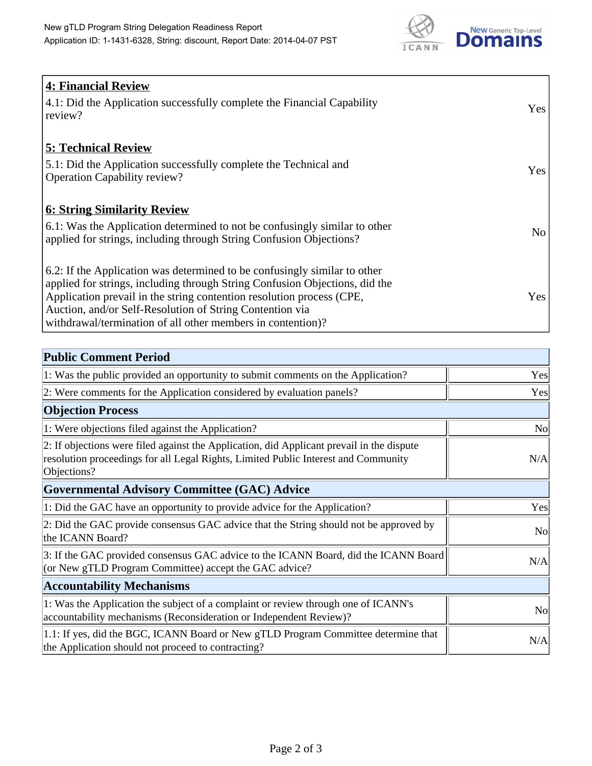

| <b>4: Financial Review</b><br>4.1: Did the Application successfully complete the Financial Capability<br>review?                                                                                                                                                                                                                                             | Yes            |
|--------------------------------------------------------------------------------------------------------------------------------------------------------------------------------------------------------------------------------------------------------------------------------------------------------------------------------------------------------------|----------------|
| <b>5: Technical Review</b><br>5.1: Did the Application successfully complete the Technical and<br><b>Operation Capability review?</b>                                                                                                                                                                                                                        | Yes            |
| <u><b>6: String Similarity Review</b></u><br>6.1: Was the Application determined to not be confusingly similar to other<br>applied for strings, including through String Confusion Objections?                                                                                                                                                               | N <sub>o</sub> |
| 6.2: If the Application was determined to be confusingly similar to other<br>applied for strings, including through String Confusion Objections, did the<br>Application prevail in the string contention resolution process (CPE,<br>Auction, and/or Self-Resolution of String Contention via<br>withdrawal/termination of all other members in contention)? | Yes            |

| <b>Public Comment Period</b>                                                                                                                                                                   |                |
|------------------------------------------------------------------------------------------------------------------------------------------------------------------------------------------------|----------------|
| 1: Was the public provided an opportunity to submit comments on the Application?                                                                                                               | Yes            |
| 2: Were comments for the Application considered by evaluation panels?                                                                                                                          | Yes            |
| <b>Objection Process</b>                                                                                                                                                                       |                |
| 1: Were objections filed against the Application?                                                                                                                                              | N <sub>0</sub> |
| 2: If objections were filed against the Application, did Applicant prevail in the dispute<br>resolution proceedings for all Legal Rights, Limited Public Interest and Community<br>Objections? | N/A            |
| <b>Governmental Advisory Committee (GAC) Advice</b>                                                                                                                                            |                |
| 1: Did the GAC have an opportunity to provide advice for the Application?                                                                                                                      | Yes            |
| 2: Did the GAC provide consensus GAC advice that the String should not be approved by<br>the ICANN Board?                                                                                      | N <sub>o</sub> |
| 3: If the GAC provided consensus GAC advice to the ICANN Board, did the ICANN Board<br>(or New gTLD Program Committee) accept the GAC advice?                                                  | N/A            |
| <b>Accountability Mechanisms</b>                                                                                                                                                               |                |
| 1: Was the Application the subject of a complaint or review through one of ICANN's<br>accountability mechanisms (Reconsideration or Independent Review)?                                       | <b>No</b>      |
| 1.1: If yes, did the BGC, ICANN Board or New gTLD Program Committee determine that<br>the Application should not proceed to contracting?                                                       | N/A            |